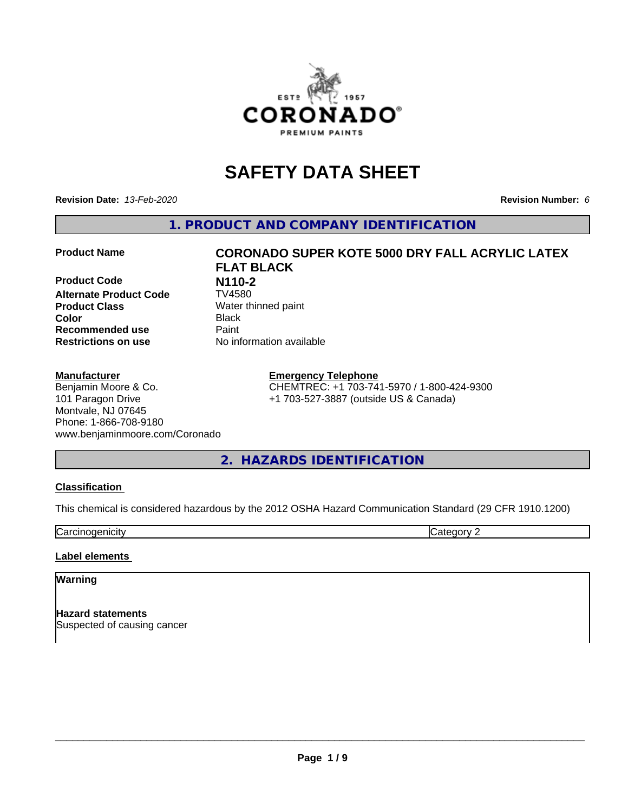

# **SAFETY DATA SHEET**

**Revision Date:** *13-Feb-2020* **Revision Number:** *6*

**1. PRODUCT AND COMPANY IDENTIFICATION**

**Product Code N110-2**<br>**Alternate Product Code TV4580 Alternate Product Code Product Class** Water thinned paint<br> **Color** Black **Recommended use Caint Restrictions on use** No information available

#### **Manufacturer**

#### Benjamin Moore & Co. 101 Paragon Drive Montvale, NJ 07645 Phone: 1-866-708-9180 www.benjaminmoore.com/Coronado

# **Product Name CORONADO SUPER KOTE 5000 DRY FALL ACRYLIC LATEX FLAT BLACK Color** Black

**Emergency Telephone** CHEMTREC: +1 703-741-5970 / 1-800-424-9300 +1 703-527-3887 (outside US & Canada)

**2. HAZARDS IDENTIFICATION**

#### **Classification**

This chemical is considered hazardous by the 2012 OSHA Hazard Communication Standard (29 CFR 1910.1200)

**Carcinogenicity** Category 2

#### **Label elements**

#### **Warning**

**Hazard statements** Suspected of causing cancer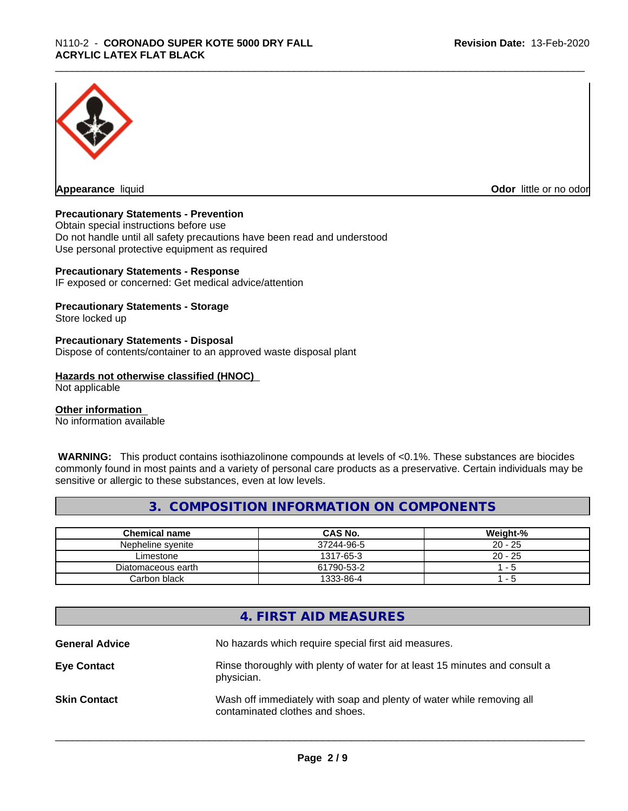

**Appearance** liquid **CODO** *Appearance liquid* **Odor** *CODO CODO* **<b>***CODO CODO CODO CODO CODO* 

#### **Precautionary Statements - Prevention**

Obtain special instructions before use Do not handle until all safety precautions have been read and understood Use personal protective equipment as required

#### **Precautionary Statements - Response**

IF exposed or concerned: Get medical advice/attention

#### **Precautionary Statements - Storage**

Store locked up

#### **Precautionary Statements - Disposal**

Dispose of contents/container to an approved waste disposal plant

#### **Hazards not otherwise classified (HNOC)**

Not applicable

#### **Other information**

No information available

 **WARNING:** This product contains isothiazolinone compounds at levels of <0.1%. These substances are biocides commonly found in most paints and a variety of personal care products as a preservative. Certain individuals may be sensitive or allergic to these substances, even at low levels.

### **3. COMPOSITION INFORMATION ON COMPONENTS**

| Chemical name      | CAS No.    | Weight-%  |
|--------------------|------------|-----------|
| Nepheline svenite  | 37244-96-5 | $20 - 25$ |
| Limestone          | 1317-65-3  | $20 - 25$ |
| Diatomaceous earth | 61790-53-2 | - 5       |
| Carbon black       | 1333-86-4  | - 5       |

|                       | 4. FIRST AID MEASURES                                                                                    |
|-----------------------|----------------------------------------------------------------------------------------------------------|
| <b>General Advice</b> | No hazards which require special first aid measures.                                                     |
| <b>Eye Contact</b>    | Rinse thoroughly with plenty of water for at least 15 minutes and consult a<br>physician.                |
| <b>Skin Contact</b>   | Wash off immediately with soap and plenty of water while removing all<br>contaminated clothes and shoes. |
|                       |                                                                                                          |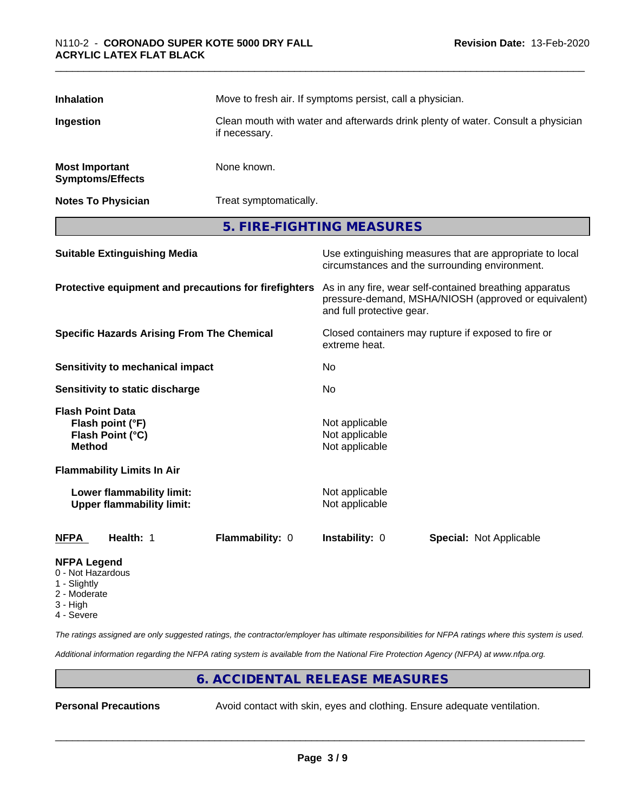| <b>Inhalation</b>                                                                | Move to fresh air. If symptoms persist, call a physician. |                                                                                  |                                                                                                                 |  |
|----------------------------------------------------------------------------------|-----------------------------------------------------------|----------------------------------------------------------------------------------|-----------------------------------------------------------------------------------------------------------------|--|
| Ingestion                                                                        | if necessary.                                             | Clean mouth with water and afterwards drink plenty of water. Consult a physician |                                                                                                                 |  |
| <b>Most Important</b><br><b>Symptoms/Effects</b>                                 | None known.                                               |                                                                                  |                                                                                                                 |  |
| <b>Notes To Physician</b>                                                        | Treat symptomatically.                                    |                                                                                  |                                                                                                                 |  |
|                                                                                  |                                                           | 5. FIRE-FIGHTING MEASURES                                                        |                                                                                                                 |  |
| <b>Suitable Extinguishing Media</b>                                              |                                                           |                                                                                  | Use extinguishing measures that are appropriate to local<br>circumstances and the surrounding environment.      |  |
|                                                                                  | Protective equipment and precautions for firefighters     | and full protective gear.                                                        | As in any fire, wear self-contained breathing apparatus<br>pressure-demand, MSHA/NIOSH (approved or equivalent) |  |
|                                                                                  | <b>Specific Hazards Arising From The Chemical</b>         | extreme heat.                                                                    | Closed containers may rupture if exposed to fire or                                                             |  |
| <b>Sensitivity to mechanical impact</b>                                          |                                                           | No                                                                               |                                                                                                                 |  |
| Sensitivity to static discharge                                                  |                                                           | No.                                                                              |                                                                                                                 |  |
| <b>Flash Point Data</b><br>Flash point (°F)<br>Flash Point (°C)<br><b>Method</b> |                                                           | Not applicable<br>Not applicable<br>Not applicable                               |                                                                                                                 |  |
| <b>Flammability Limits In Air</b>                                                |                                                           |                                                                                  |                                                                                                                 |  |
| Lower flammability limit:<br><b>Upper flammability limit:</b>                    |                                                           | Not applicable<br>Not applicable                                                 |                                                                                                                 |  |
| <b>NFPA</b><br>Health: 1                                                         | Flammability: 0                                           | Instability: 0                                                                   | <b>Special: Not Applicable</b>                                                                                  |  |
| <b>NFPA Legend</b><br>0 - Not Hazardous<br>$\bigcap$ is a latter of              |                                                           |                                                                                  |                                                                                                                 |  |

- 1 Slightly
- 2 Moderate
- 3 High
- 4 Severe

*The ratings assigned are only suggested ratings, the contractor/employer has ultimate responsibilities for NFPA ratings where this system is used.*

*Additional information regarding the NFPA rating system is available from the National Fire Protection Agency (NFPA) at www.nfpa.org.*

# **6. ACCIDENTAL RELEASE MEASURES**

**Personal Precautions** Avoid contact with skin, eyes and clothing. Ensure adequate ventilation.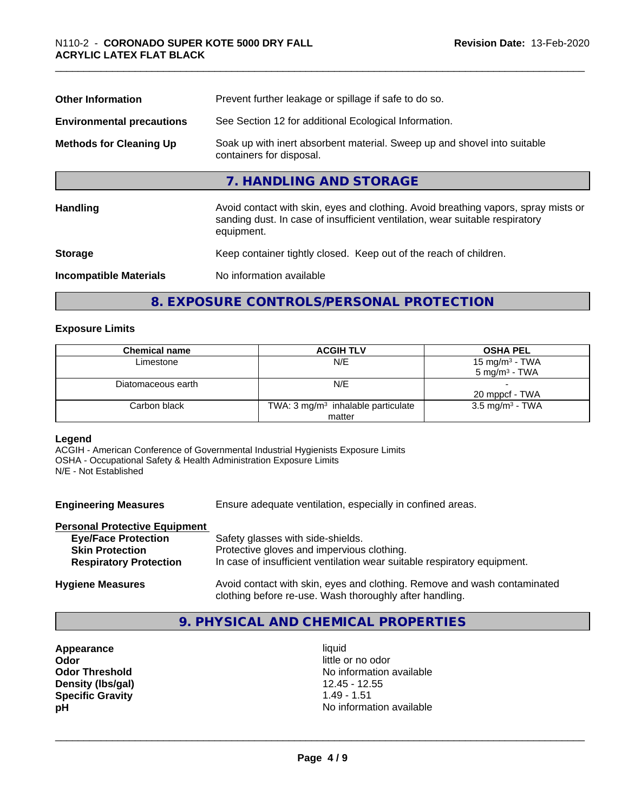| <b>Other Information</b>         | Prevent further leakage or spillage if safe to do so.                                                                                                                            |  |  |
|----------------------------------|----------------------------------------------------------------------------------------------------------------------------------------------------------------------------------|--|--|
| <b>Environmental precautions</b> | See Section 12 for additional Ecological Information.                                                                                                                            |  |  |
| <b>Methods for Cleaning Up</b>   | Soak up with inert absorbent material. Sweep up and shovel into suitable<br>containers for disposal.                                                                             |  |  |
|                                  | 7. HANDLING AND STORAGE                                                                                                                                                          |  |  |
| <b>Handling</b>                  | Avoid contact with skin, eyes and clothing. Avoid breathing vapors, spray mists or<br>sanding dust. In case of insufficient ventilation, wear suitable respiratory<br>equipment. |  |  |
| <b>Storage</b>                   | Keep container tightly closed. Keep out of the reach of children.                                                                                                                |  |  |
| <b>Incompatible Materials</b>    | No information available                                                                                                                                                         |  |  |

# **8. EXPOSURE CONTROLS/PERSONAL PROTECTION**

#### **Exposure Limits**

| <b>Chemical name</b> | <b>ACGIH TLV</b>                              | <b>OSHA PEL</b>            |
|----------------------|-----------------------------------------------|----------------------------|
| Limestone            | N/E                                           | 15 mg/m <sup>3</sup> - TWA |
|                      |                                               | $5 \text{ ma/m}^3$ - TWA   |
| Diatomaceous earth   | N/E                                           |                            |
|                      |                                               | 20 mppcf - TWA             |
| Carbon black         | TWA: $3 \text{ mg/m}^3$ inhalable particulate | $3.5 \text{ mg/m}^3$ - TWA |
|                      | matter                                        |                            |

#### **Legend**

ACGIH - American Conference of Governmental Industrial Hygienists Exposure Limits OSHA - Occupational Safety & Health Administration Exposure Limits N/E - Not Established

| <b>Engineering Measures</b>          | Ensure adequate ventilation, especially in confined areas.                                                                          |  |  |
|--------------------------------------|-------------------------------------------------------------------------------------------------------------------------------------|--|--|
| <b>Personal Protective Equipment</b> |                                                                                                                                     |  |  |
| <b>Eye/Face Protection</b>           | Safety glasses with side-shields.                                                                                                   |  |  |
| <b>Skin Protection</b>               | Protective gloves and impervious clothing.                                                                                          |  |  |
| <b>Respiratory Protection</b>        | In case of insufficient ventilation wear suitable respiratory equipment.                                                            |  |  |
| <b>Hygiene Measures</b>              | Avoid contact with skin, eyes and clothing. Remove and wash contaminated<br>clothing before re-use. Wash thoroughly after handling. |  |  |

# **9. PHYSICAL AND CHEMICAL PROPERTIES**

**Appearance** liquid **Odor**<br> **Odor Threshold**<br> **Odor Threshold**<br> **Odor Threshold**<br> **Odor Threshold Density (lbs/gal)** 12.45 - 12.55 **Specific Gravity** 1.49 - 1.51

**No information available pH** No information available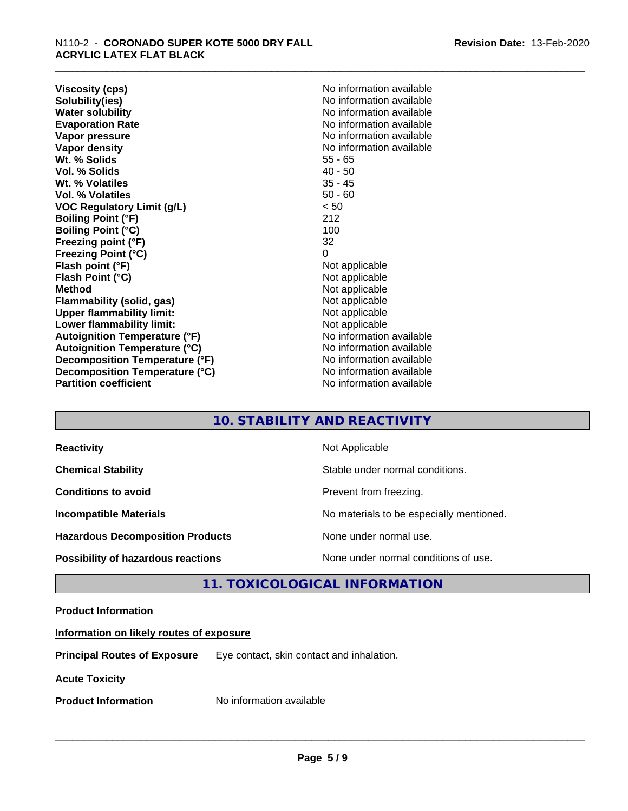**Viscosity (cps)** No information available<br> **Solubility(ies)** No information available **Solubility(ies)**<br> **No information available**<br> **Water solubility**<br> **Water solubility Evaporation Rate No information available No information available Vapor pressure** No information available in the North American Monte available in the North American available **Vapor density Vapor** density **Wt. % Solids** 55 - 65 **Vol. % Solids** 40 - 50 Wt. % Volatiles **Vol. % Volatiles** 50 - 60 **VOC Regulatory Limit (g/L)** < 50 **Boiling Point (°F)** 212 **Boiling Point (°C)** 100<br> **Preezing point (°F)** 22 **Freezing point (°F) Freezing Point (°C)** 0 **Flash point (°F)**<br> **Flash Point (°C)**<br> **Flash Point (°C)**<br> **Not** applicable **Flash Point (°C) Method** Not applicable not applicable not applicable not applicable not applicable not applicable not applicable not applicable not applicable not applicable not applicable not applicable not applicable not applicable not **Flammability (solid, gas)**<br> **Upper flammability limit:**<br>
Upper flammability limit:<br>
Not applicable **Upper flammability limit: Lower flammability limit:** Not applicable **Autoignition Temperature (°F)** No information available **Autoignition Temperature (°C)** No information available **Decomposition Temperature (°F)** No information available **Decomposition Temperature (°C)**<br> **Partition coefficient**<br> **Partition coefficient**<br> **No** information available

**No information available No information available** 

# **10. STABILITY AND REACTIVITY**

| <b>Reactivity</b>                         | Not Applicable                           |
|-------------------------------------------|------------------------------------------|
|                                           |                                          |
| <b>Chemical Stability</b>                 | Stable under normal conditions.          |
| <b>Conditions to avoid</b>                | Prevent from freezing.                   |
| <b>Incompatible Materials</b>             | No materials to be especially mentioned. |
| <b>Hazardous Decomposition Products</b>   | None under normal use.                   |
| <b>Possibility of hazardous reactions</b> | None under normal conditions of use.     |

# **11. TOXICOLOGICAL INFORMATION**

#### **Product Information**

### **Information on likely routes of exposure**

**Principal Routes of Exposure** Eye contact, skin contact and inhalation.

**Acute Toxicity** 

**Product Information** No information available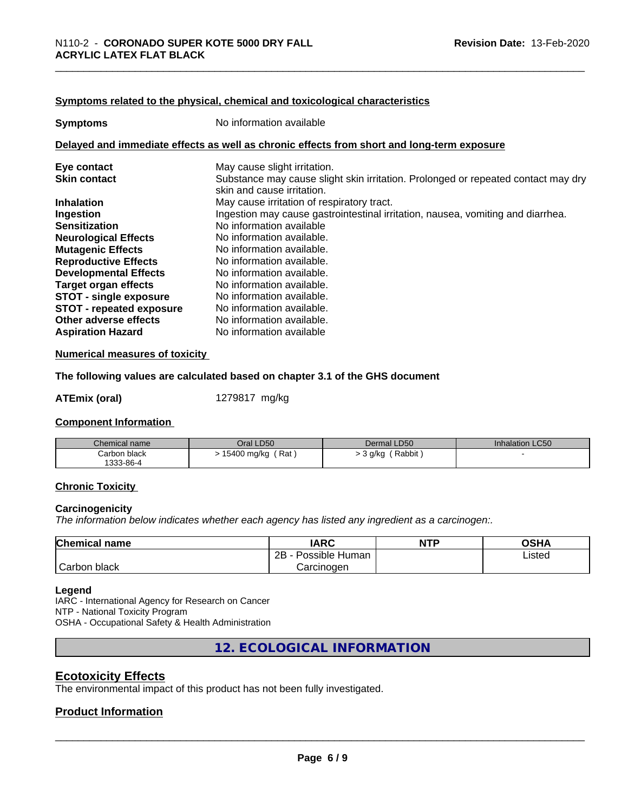#### **Symptoms related to the physical,chemical and toxicological characteristics**

| <b>Symptoms</b>                 | No information available                                                                                        |  |  |
|---------------------------------|-----------------------------------------------------------------------------------------------------------------|--|--|
|                                 | Delayed and immediate effects as well as chronic effects from short and long-term exposure                      |  |  |
| Eye contact                     | May cause slight irritation.                                                                                    |  |  |
| <b>Skin contact</b>             | Substance may cause slight skin irritation. Prolonged or repeated contact may dry<br>skin and cause irritation. |  |  |
| <b>Inhalation</b>               | May cause irritation of respiratory tract.                                                                      |  |  |
| Ingestion                       | Ingestion may cause gastrointestinal irritation, nausea, vomiting and diarrhea.                                 |  |  |
| <b>Sensitization</b>            | No information available                                                                                        |  |  |
| <b>Neurological Effects</b>     | No information available.                                                                                       |  |  |
| <b>Mutagenic Effects</b>        | No information available.                                                                                       |  |  |
| <b>Reproductive Effects</b>     | No information available.                                                                                       |  |  |
| <b>Developmental Effects</b>    | No information available.                                                                                       |  |  |
| Target organ effects            | No information available.                                                                                       |  |  |
| <b>STOT - single exposure</b>   | No information available.                                                                                       |  |  |
| <b>STOT - repeated exposure</b> | No information available.                                                                                       |  |  |
| Other adverse effects           | No information available.                                                                                       |  |  |
| <b>Aspiration Hazard</b>        | No information available                                                                                        |  |  |

#### **Numerical measures of toxicity**

**The following values are calculated based on chapter 3.1 of the GHS document**

**ATEmix (oral)** 1279817 mg/kg

#### **Component Information**

| Chemical name | Oral LD50   | Dermal LD50 | <b>Inhalation LC50</b> |
|---------------|-------------|-------------|------------------------|
| Carbon black  | Rat         | Rabbit      |                        |
| 1333-86-4     | 15400 mg/kg | 3 a/ko      |                        |

#### **Chronic Toxicity**

#### **Carcinogenicity**

*The information below indicateswhether each agency has listed any ingredient as a carcinogen:.*

| <b>Chemical name</b>      | <b>IARC</b>                  | <b>NTP</b> | $\sim$ u $\prime$<br>บงท⊬ |
|---------------------------|------------------------------|------------|---------------------------|
|                           | .<br>2B<br>Human<br>Possible |            | Listed                    |
| $\sim$<br>Carbor<br>black | Carcinoɑen                   |            |                           |

#### **Legend**

IARC - International Agency for Research on Cancer NTP - National Toxicity Program OSHA - Occupational Safety & Health Administration

**12. ECOLOGICAL INFORMATION**

#### **Ecotoxicity Effects**

The environmental impact of this product has not been fully investigated.

### **Product Information**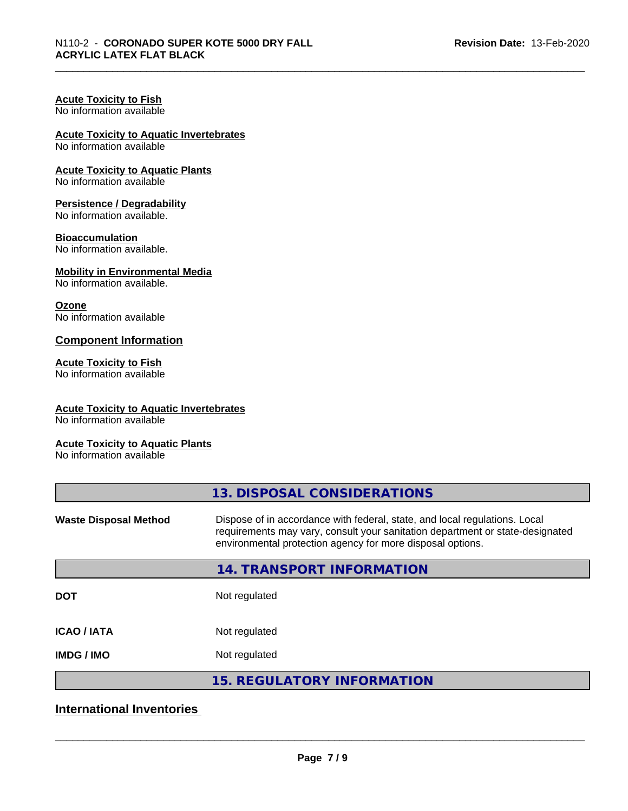# **Acute Toxicity to Fish**

No information available

# **Acute Toxicity to Aquatic Invertebrates**

No information available

#### **Acute Toxicity to Aquatic Plants**

No information available

#### **Persistence / Degradability**

No information available.

#### **Bioaccumulation**

No information available.

#### **Mobility in Environmental Media**

No information available.

#### **Ozone**

No information available

#### **Component Information**

#### **Acute Toxicity to Fish**

No information available

#### **Acute Toxicity to Aquatic Invertebrates**

No information available

#### **Acute Toxicity to Aquatic Plants**

No information available

| 13. DISPOSAL CONSIDERATIONS                                                                                                                                                                                               |
|---------------------------------------------------------------------------------------------------------------------------------------------------------------------------------------------------------------------------|
| Dispose of in accordance with federal, state, and local regulations. Local<br>requirements may vary, consult your sanitation department or state-designated<br>environmental protection agency for more disposal options. |
| 14. TRANSPORT INFORMATION                                                                                                                                                                                                 |
| Not regulated                                                                                                                                                                                                             |
| Not regulated                                                                                                                                                                                                             |
| Not regulated                                                                                                                                                                                                             |
| <b>15. REGULATORY INFORMATION</b>                                                                                                                                                                                         |
|                                                                                                                                                                                                                           |

# **International Inventories**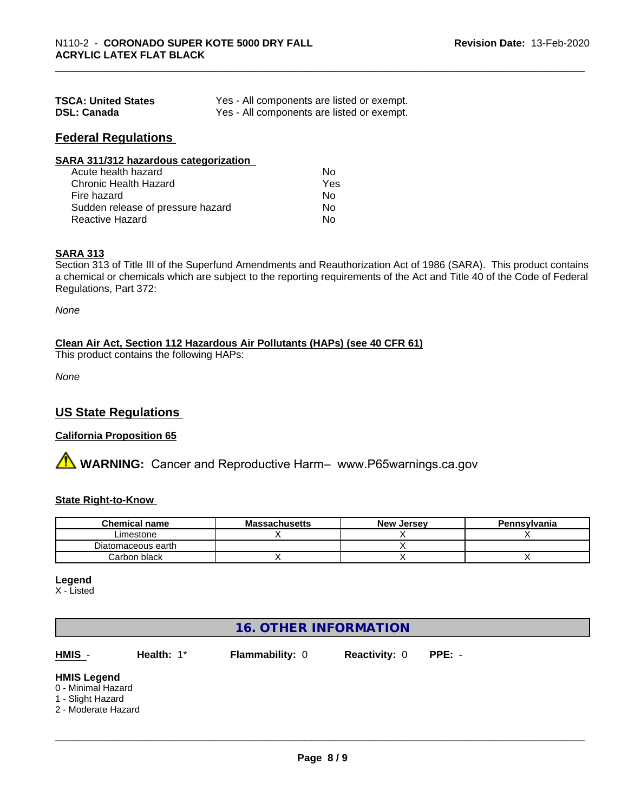| <b>TSCA: United States</b> | Yes - All components are listed or exempt. |
|----------------------------|--------------------------------------------|
| <b>DSL: Canada</b>         | Yes - All components are listed or exempt. |

#### **Federal Regulations**

| SARA 311/312 hazardous categorization |      |  |
|---------------------------------------|------|--|
| Acute health hazard                   | No   |  |
| Chronic Health Hazard                 | Yes. |  |

| Chronic Health Hazard             | Yes |  |
|-----------------------------------|-----|--|
| Fire hazard                       | Nο  |  |
| Sudden release of pressure hazard | Nο  |  |
| Reactive Hazard                   | Nο  |  |

#### **SARA 313**

Section 313 of Title III of the Superfund Amendments and Reauthorization Act of 1986 (SARA). This product contains a chemical or chemicals which are subject to the reporting requirements of the Act and Title 40 of the Code of Federal Regulations, Part 372:

*None*

#### **Clean Air Act,Section 112 Hazardous Air Pollutants (HAPs) (see 40 CFR 61)**

This product contains the following HAPs:

*None*

# **US State Regulations**

#### **California Proposition 65**

**AN** WARNING: Cancer and Reproductive Harm– www.P65warnings.ca.gov

#### **State Right-to-Know**

| <b>Chemical name</b> | <b>Massachusetts</b> | . Jersev<br>New | Pennsylvania |
|----------------------|----------------------|-----------------|--------------|
| Limestone            |                      |                 |              |
| Diatomaceous earth   |                      |                 |              |
| Carbon black         |                      |                 |              |

#### **Legend**

X - Listed

# **16. OTHER INFORMATION**

**HMIS** - **Health:** 1\* **Flammability:** 0 **Reactivity:** 0 **PPE:** -

 $\overline{\phantom{a}}$  ,  $\overline{\phantom{a}}$  ,  $\overline{\phantom{a}}$  ,  $\overline{\phantom{a}}$  ,  $\overline{\phantom{a}}$  ,  $\overline{\phantom{a}}$  ,  $\overline{\phantom{a}}$  ,  $\overline{\phantom{a}}$  ,  $\overline{\phantom{a}}$  ,  $\overline{\phantom{a}}$  ,  $\overline{\phantom{a}}$  ,  $\overline{\phantom{a}}$  ,  $\overline{\phantom{a}}$  ,  $\overline{\phantom{a}}$  ,  $\overline{\phantom{a}}$  ,  $\overline{\phantom{a}}$ 

#### **HMIS Legend**

- 0 Minimal Hazard
- 1 Slight Hazard
- 2 Moderate Hazard